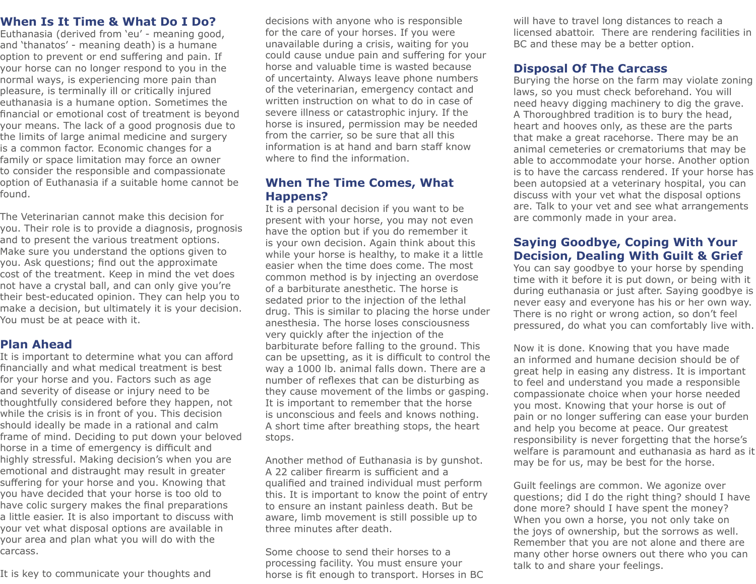### **When Is It Time & What Do I Do?**

Euthanasia (derived from 'eu' - meaning good, and 'thanatos' - meaning death) is a humane option to prevent or end suffering and pain. If your horse can no longer respond to you in the normal ways, is experiencing more pain than pleasure, is terminally ill or critically injured euthanasia is a humane option. Sometimes the financial or emotional cost of treatment is beyond your means. The lack of a good prognosis due to the limits of large animal medicine and surgery is a common factor. Economic changes for a family or space limitation may force an owner to consider the responsible and compassionate option of Euthanasia if a suitable home cannot be found.

The Veterinarian cannot make this decision for you. Their role is to provide a diagnosis, prognosis and to present the various treatment options. Make sure you understand the options given to you. Ask questions; find out the approximate cost of the treatment. Keep in mind the vet does not have a crystal ball, and can only give you're their best-educated opinion. They can help you to make a decision, but ultimately it is your decision. You must be at peace with it.

#### **Plan Ahead**

It is important to determine what you can afford financially and what medical treatment is best for your horse and you. Factors such as age and severity of disease or injury need to be thoughtfully considered before they happen, not while the crisis is in front of you. This decision should ideally be made in a rational and calm frame of mind. Deciding to put down your beloved horse in a time of emergency is difficult and highly stressful. Making decision's when you are emotional and distraught may result in greater suffering for your horse and you. Knowing that you have decided that your horse is too old to have colic surgery makes the final preparations a little easier. It is also important to discuss with your vet what disposal options are available in your area and plan what you will do with the carcass.

It is key to communicate your thoughts and

decisions with anyone who is responsible for the care of your horses. If you were unavailable during a crisis, waiting for you could cause undue pain and suffering for your horse and valuable time is wasted because of uncertainty. Always leave phone numbers of the veterinarian, emergency contact and written instruction on what to do in case of severe illness or catastrophic injury. If the horse is insured, permission may be needed from the carrier, so be sure that all this information is at hand and barn staff know where to find the information.

#### **When The Time Comes, What Happens?**

It is a personal decision if you want to be present with your horse, you may not even have the option but if you do remember it is your own decision. Again think about this while your horse is healthy, to make it a little easier when the time does come. The most common method is by injecting an overdose of a barbiturate anesthetic. The horse is sedated prior to the injection of the lethal drug. This is similar to placing the horse under anesthesia. The horse loses consciousness very quickly after the injection of the barbiturate before falling to the ground. This can be upsetting, as it is difficult to control the way a 1000 lb. animal falls down. There are a number of reflexes that can be disturbing as they cause movement of the limbs or gasping. It is important to remember that the horse is unconscious and feels and knows nothing. A short time after breathing stops, the heart stops.

Another method of Euthanasia is by gunshot. A 22 caliber firearm is sufficient and a qualified and trained individual must perform this. It is important to know the point of entry to ensure an instant painless death. But be aware, limb movement is still possible up to three minutes after death.

Some choose to send their horses to a processing facility. You must ensure your horse is fit enough to transport. Horses in BC

will have to travel long distances to reach a licensed abattoir. There are rendering facilities in BC and these may be a better option.

### **Disposal Of The Carcass**

Burying the horse on the farm may violate zoning laws, so you must check beforehand. You will need heavy digging machinery to dig the grave. A Thoroughbred tradition is to bury the head, heart and hooves only, as these are the parts that make a great racehorse. There may be an animal cemeteries or crematoriums that may be able to accommodate your horse. Another option is to have the carcass rendered. If your horse has been autopsied at a veterinary hospital, you can discuss with your vet what the disposal options are. Talk to your vet and see what arrangements are commonly made in your area.

## **Saying Goodbye, Coping With Your Decision, Dealing With Guilt & Grief**

You can say goodbye to your horse by spending time with it before it is put down, or being with it during euthanasia or just after. Saying goodbye is never easy and everyone has his or her own way. There is no right or wrong action, so don't feel pressured, do what you can comfortably live with.

Now it is done. Knowing that you have made an informed and humane decision should be of great help in easing any distress. It is important to feel and understand you made a responsible compassionate choice when your horse needed you most. Knowing that your horse is out of pain or no longer suffering can ease your burden and help you become at peace. Our greatest responsibility is never forgetting that the horse's welfare is paramount and euthanasia as hard as it may be for us, may be best for the horse.

Guilt feelings are common. We agonize over questions; did I do the right thing? should I have done more? should I have spent the money? When you own a horse, you not only take on the joys of ownership, but the sorrows as well. Remember that you are not alone and there are many other horse owners out there who you can talk to and share your feelings.